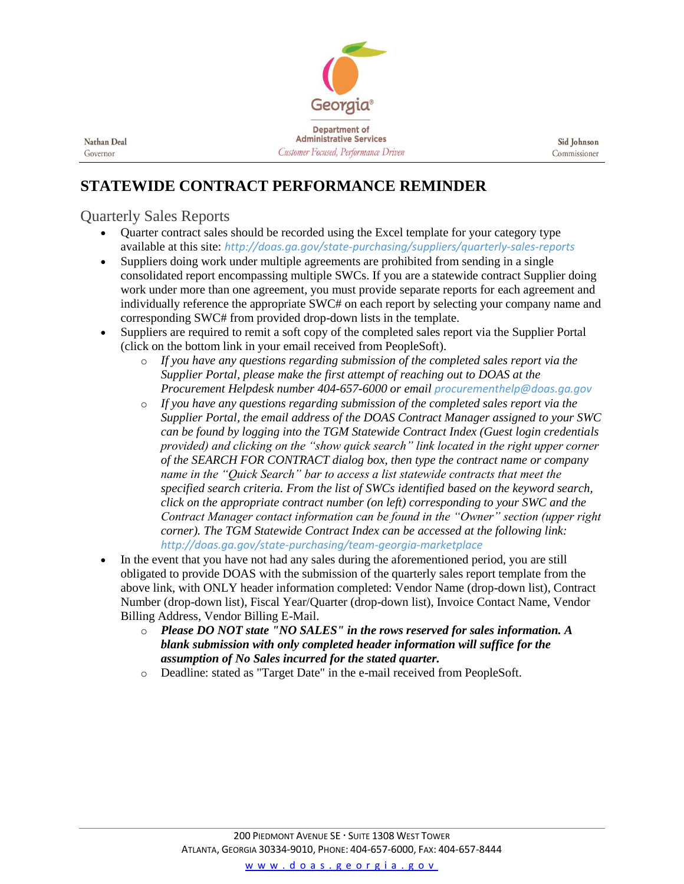

Nathan Deal Governor

## **STATEWIDE CONTRACT PERFORMANCE REMINDER**

## Quarterly Sales Reports

- Quarter contract sales should be recorded using the Excel template for your category type available at this site: *<http://doas.ga.gov/state-purchasing/suppliers/quarterly-sales-reports>*
- Suppliers doing work under multiple agreements are prohibited from sending in a single consolidated report encompassing multiple SWCs. If you are a statewide contract Supplier doing work under more than one agreement, you must provide separate reports for each agreement and individually reference the appropriate SWC# on each report by selecting your company name and corresponding SWC# from provided drop-down lists in the template.
- Suppliers are required to remit a soft copy of the completed sales report via the Supplier Portal (click on the bottom link in your email received from PeopleSoft).
	- o *If you have any questions regarding submission of the completed sales report via the Supplier Portal, please make the first attempt of reaching out to DOAS at the Procurement Helpdesk number 404-657-6000 or email [procurementhelp@doas.ga.gov](mailto:procurementhelp@doas.ga.gov)*
	- o *If you have any questions regarding submission of the completed sales report via the Supplier Portal, the email address of the DOAS Contract Manager assigned to your SWC can be found by logging into the TGM Statewide Contract Index (Guest login credentials provided) and clicking on the "show quick search" link located in the right upper corner of the SEARCH FOR CONTRACT dialog box, then type the contract name or company name in the "Quick Search" bar to access a list statewide contracts that meet the specified search criteria. From the list of SWCs identified based on the keyword search, click on the appropriate contract number (on left) corresponding to your SWC and the Contract Manager contact information can be found in the "Owner" section (upper right corner). The TGM Statewide Contract Index can be accessed at the following link: <http://doas.ga.gov/state-purchasing/team-georgia-marketplace>*
- In the event that you have not had any sales during the aforementioned period, you are still obligated to provide DOAS with the submission of the quarterly sales report template from the above link, with ONLY header information completed: Vendor Name (drop-down list), Contract Number (drop-down list), Fiscal Year/Quarter (drop-down list), Invoice Contact Name, Vendor Billing Address, Vendor Billing E-Mail.
	- o *Please DO NOT state "NO SALES" in the rows reserved for sales information. A blank submission with only completed header information will suffice for the assumption of No Sales incurred for the stated quarter.*
	- o Deadline: stated as "Target Date" in the e-mail received from PeopleSoft.